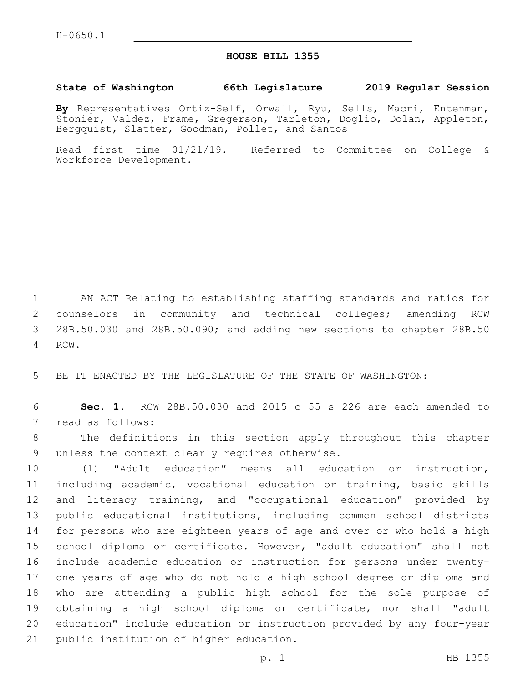## **HOUSE BILL 1355**

## **State of Washington 66th Legislature 2019 Regular Session**

**By** Representatives Ortiz-Self, Orwall, Ryu, Sells, Macri, Entenman, Stonier, Valdez, Frame, Gregerson, Tarleton, Doglio, Dolan, Appleton, Bergquist, Slatter, Goodman, Pollet, and Santos

Read first time 01/21/19. Referred to Committee on College & Workforce Development.

 AN ACT Relating to establishing staffing standards and ratios for counselors in community and technical colleges; amending RCW 28B.50.030 and 28B.50.090; and adding new sections to chapter 28B.50 4 RCW.

5 BE IT ENACTED BY THE LEGISLATURE OF THE STATE OF WASHINGTON:

6 **Sec. 1.** RCW 28B.50.030 and 2015 c 55 s 226 are each amended to 7 read as follows:

8 The definitions in this section apply throughout this chapter 9 unless the context clearly requires otherwise.

 (1) "Adult education" means all education or instruction, including academic, vocational education or training, basic skills and literacy training, and "occupational education" provided by public educational institutions, including common school districts for persons who are eighteen years of age and over or who hold a high school diploma or certificate. However, "adult education" shall not include academic education or instruction for persons under twenty- one years of age who do not hold a high school degree or diploma and who are attending a public high school for the sole purpose of obtaining a high school diploma or certificate, nor shall "adult education" include education or instruction provided by any four-year 21 public institution of higher education.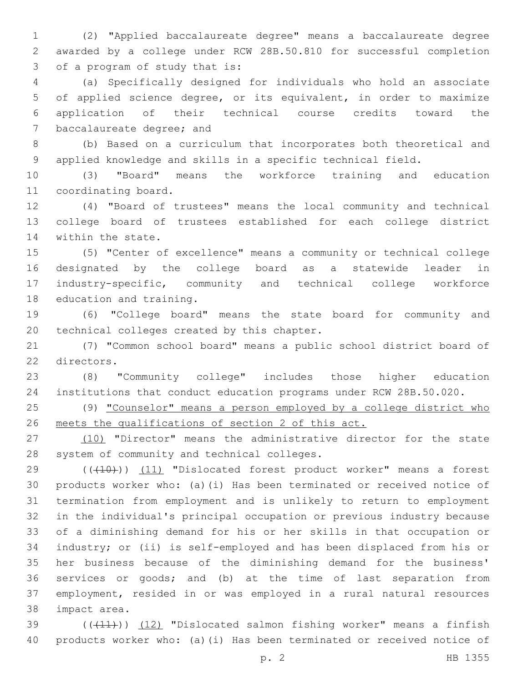(2) "Applied baccalaureate degree" means a baccalaureate degree awarded by a college under RCW 28B.50.810 for successful completion 3 of a program of study that is:

 (a) Specifically designed for individuals who hold an associate of applied science degree, or its equivalent, in order to maximize application of their technical course credits toward the 7 baccalaureate degree; and

 (b) Based on a curriculum that incorporates both theoretical and applied knowledge and skills in a specific technical field.

 (3) "Board" means the workforce training and education 11 coordinating board.

 (4) "Board of trustees" means the local community and technical college board of trustees established for each college district 14 within the state.

 (5) "Center of excellence" means a community or technical college designated by the college board as a statewide leader in industry-specific, community and technical college workforce 18 education and training.

 (6) "College board" means the state board for community and 20 technical colleges created by this chapter.

 (7) "Common school board" means a public school district board of 22 directors.

 (8) "Community college" includes those higher education institutions that conduct education programs under RCW 28B.50.020.

25 (9) "Counselor" means a person employed by a college district who meets the qualifications of section 2 of this act.

27 (10) "Director" means the administrative director for the state 28 system of community and technical colleges.

29 (((410)) (11) "Dislocated forest product worker" means a forest products worker who: (a)(i) Has been terminated or received notice of termination from employment and is unlikely to return to employment in the individual's principal occupation or previous industry because of a diminishing demand for his or her skills in that occupation or industry; or (ii) is self-employed and has been displaced from his or her business because of the diminishing demand for the business' services or goods; and (b) at the time of last separation from employment, resided in or was employed in a rural natural resources 38 impact area.

39  $((+11))$   $(12)$  "Dislocated salmon fishing worker" means a finfish products worker who: (a)(i) Has been terminated or received notice of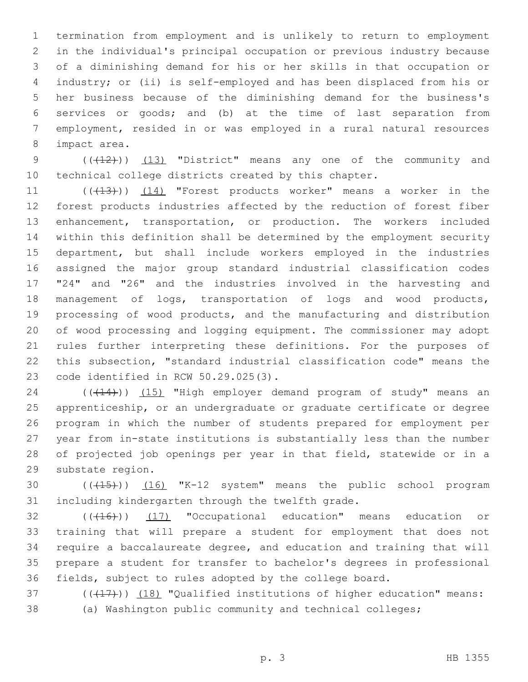termination from employment and is unlikely to return to employment in the individual's principal occupation or previous industry because of a diminishing demand for his or her skills in that occupation or industry; or (ii) is self-employed and has been displaced from his or her business because of the diminishing demand for the business's services or goods; and (b) at the time of last separation from employment, resided in or was employed in a rural natural resources 8 impact area.

9 (( $(12)$ )) (13) "District" means any one of the community and technical college districts created by this chapter.

11 ((+13))) (14) "Forest products worker" means a worker in the forest products industries affected by the reduction of forest fiber enhancement, transportation, or production. The workers included within this definition shall be determined by the employment security department, but shall include workers employed in the industries assigned the major group standard industrial classification codes "24" and "26" and the industries involved in the harvesting and management of logs, transportation of logs and wood products, processing of wood products, and the manufacturing and distribution of wood processing and logging equipment. The commissioner may adopt rules further interpreting these definitions. For the purposes of this subsection, "standard industrial classification code" means the 23 code identified in RCW 50.29.025(3).

24 (((14))) (15) "High employer demand program of study" means an apprenticeship, or an undergraduate or graduate certificate or degree program in which the number of students prepared for employment per year from in-state institutions is substantially less than the number of projected job openings per year in that field, statewide or in a 29 substate region.

30 (( $(15)$ )) (16) "K-12 system" means the public school program 31 including kindergarten through the twelfth grade.

32 (((416)) (17) "Occupational education" means education or training that will prepare a student for employment that does not require a baccalaureate degree, and education and training that will prepare a student for transfer to bachelor's degrees in professional fields, subject to rules adopted by the college board.

37 (((417))) (18) "Qualified institutions of higher education" means: (a) Washington public community and technical colleges;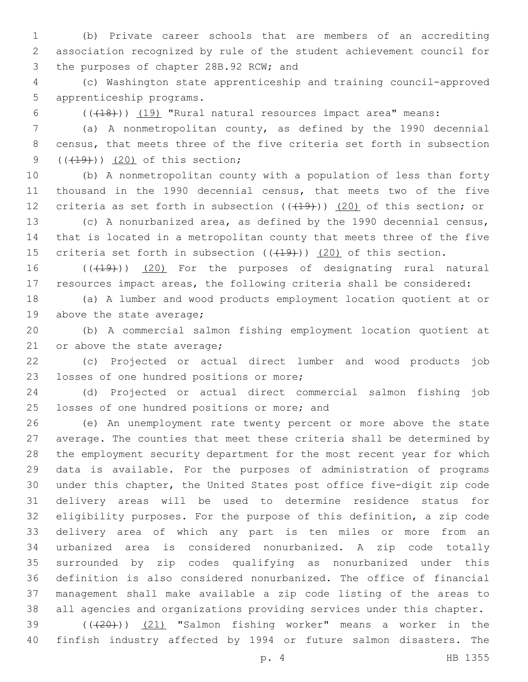(b) Private career schools that are members of an accrediting association recognized by rule of the student achievement council for 3 the purposes of chapter 28B.92 RCW; and

 (c) Washington state apprenticeship and training council-approved 5 apprenticeship programs.

6 (( $(18)$ )) (19) "Rural natural resources impact area" means:

 (a) A nonmetropolitan county, as defined by the 1990 decennial census, that meets three of the five criteria set forth in subsection  $($   $($   $($   $($   $+$   $20)$  of this section;

 (b) A nonmetropolitan county with a population of less than forty thousand in the 1990 decennial census, that meets two of the five 12 criteria as set forth in subsection  $((+19))$   $(20)$  of this section; or

 (c) A nonurbanized area, as defined by the 1990 decennial census, that is located in a metropolitan county that meets three of the five 15 criteria set forth in subsection  $((+19))$   $(20)$  of this section.

16 (((19)) (20) For the purposes of designating rural natural resources impact areas, the following criteria shall be considered:

 (a) A lumber and wood products employment location quotient at or 19 above the state average;

 (b) A commercial salmon fishing employment location quotient at 21 or above the state average;

 (c) Projected or actual direct lumber and wood products job 23 losses of one hundred positions or more;

 (d) Projected or actual direct commercial salmon fishing job 25 losses of one hundred positions or more; and

 (e) An unemployment rate twenty percent or more above the state average. The counties that meet these criteria shall be determined by the employment security department for the most recent year for which data is available. For the purposes of administration of programs under this chapter, the United States post office five-digit zip code delivery areas will be used to determine residence status for eligibility purposes. For the purpose of this definition, a zip code delivery area of which any part is ten miles or more from an urbanized area is considered nonurbanized. A zip code totally surrounded by zip codes qualifying as nonurbanized under this definition is also considered nonurbanized. The office of financial management shall make available a zip code listing of the areas to all agencies and organizations providing services under this chapter.

39 (((20))) (21) "Salmon fishing worker" means a worker in the finfish industry affected by 1994 or future salmon disasters. The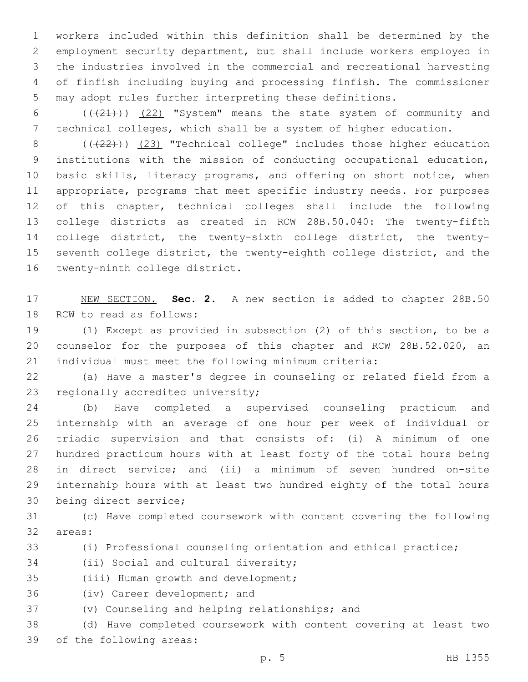workers included within this definition shall be determined by the employment security department, but shall include workers employed in the industries involved in the commercial and recreational harvesting of finfish including buying and processing finfish. The commissioner may adopt rules further interpreting these definitions.

6  $((+21))$   $(22)$  "System" means the state system of community and technical colleges, which shall be a system of higher education.

8 (( $(22)$ )) (23) "Technical college" includes those higher education institutions with the mission of conducting occupational education, basic skills, literacy programs, and offering on short notice, when appropriate, programs that meet specific industry needs. For purposes of this chapter, technical colleges shall include the following college districts as created in RCW 28B.50.040: The twenty-fifth college district, the twenty-sixth college district, the twenty- seventh college district, the twenty-eighth college district, and the 16 twenty-ninth college district.

 NEW SECTION. **Sec. 2.** A new section is added to chapter 28B.50 18 RCW to read as follows:

 (1) Except as provided in subsection (2) of this section, to be a counselor for the purposes of this chapter and RCW 28B.52.020, an individual must meet the following minimum criteria:

 (a) Have a master's degree in counseling or related field from a 23 regionally accredited university;

 (b) Have completed a supervised counseling practicum and internship with an average of one hour per week of individual or triadic supervision and that consists of: (i) A minimum of one hundred practicum hours with at least forty of the total hours being in direct service; and (ii) a minimum of seven hundred on-site internship hours with at least two hundred eighty of the total hours 30 being direct service;

 (c) Have completed coursework with content covering the following 32 areas:

(i) Professional counseling orientation and ethical practice;

34 (ii) Social and cultural diversity;

35 (iii) Human growth and development;

36 (iv) Career development; and

37 (v) Counseling and helping relationships; and

 (d) Have completed coursework with content covering at least two 39 of the following areas: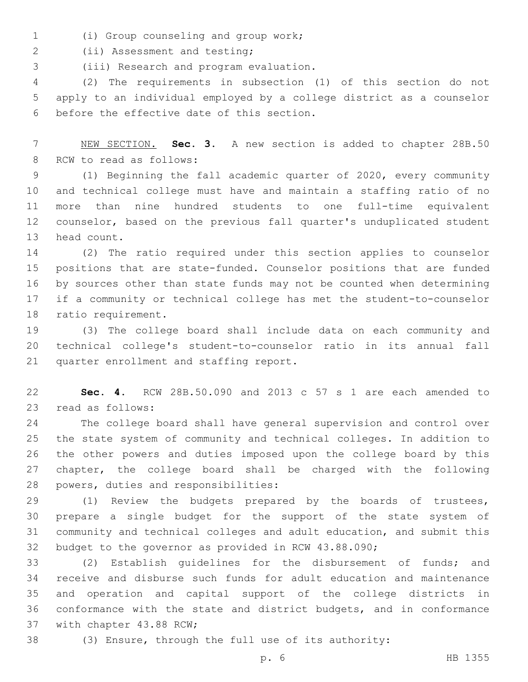(i) Group counseling and group work;1

2 (ii) Assessment and testing;

(iii) Research and program evaluation.3

 (2) The requirements in subsection (1) of this section do not apply to an individual employed by a college district as a counselor 6 before the effective date of this section.

 NEW SECTION. **Sec. 3.** A new section is added to chapter 28B.50 8 RCW to read as follows:

 (1) Beginning the fall academic quarter of 2020, every community and technical college must have and maintain a staffing ratio of no more than nine hundred students to one full-time equivalent counselor, based on the previous fall quarter's unduplicated student 13 head count.

 (2) The ratio required under this section applies to counselor positions that are state-funded. Counselor positions that are funded by sources other than state funds may not be counted when determining if a community or technical college has met the student-to-counselor 18 ratio requirement.

 (3) The college board shall include data on each community and technical college's student-to-counselor ratio in its annual fall 21 quarter enrollment and staffing report.

 **Sec. 4.** RCW 28B.50.090 and 2013 c 57 s 1 are each amended to 23 read as follows:

 The college board shall have general supervision and control over the state system of community and technical colleges. In addition to the other powers and duties imposed upon the college board by this chapter, the college board shall be charged with the following 28 powers, duties and responsibilities:

 (1) Review the budgets prepared by the boards of trustees, prepare a single budget for the support of the state system of community and technical colleges and adult education, and submit this budget to the governor as provided in RCW 43.88.090;

 (2) Establish guidelines for the disbursement of funds; and receive and disburse such funds for adult education and maintenance and operation and capital support of the college districts in conformance with the state and district budgets, and in conformance 37 with chapter 43.88 RCW;

(3) Ensure, through the full use of its authority: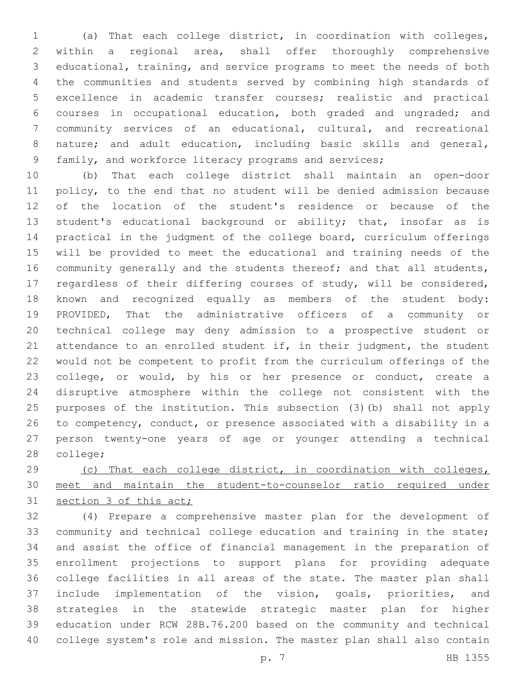(a) That each college district, in coordination with colleges, within a regional area, shall offer thoroughly comprehensive educational, training, and service programs to meet the needs of both the communities and students served by combining high standards of excellence in academic transfer courses; realistic and practical courses in occupational education, both graded and ungraded; and community services of an educational, cultural, and recreational nature; and adult education, including basic skills and general, family, and workforce literacy programs and services;

 (b) That each college district shall maintain an open-door policy, to the end that no student will be denied admission because of the location of the student's residence or because of the student's educational background or ability; that, insofar as is practical in the judgment of the college board, curriculum offerings will be provided to meet the educational and training needs of the 16 community generally and the students thereof; and that all students, regardless of their differing courses of study, will be considered, known and recognized equally as members of the student body: PROVIDED, That the administrative officers of a community or technical college may deny admission to a prospective student or attendance to an enrolled student if, in their judgment, the student would not be competent to profit from the curriculum offerings of the college, or would, by his or her presence or conduct, create a disruptive atmosphere within the college not consistent with the purposes of the institution. This subsection (3)(b) shall not apply to competency, conduct, or presence associated with a disability in a person twenty-one years of age or younger attending a technical 28 college;

 (c) That each college district, in coordination with colleges, meet and maintain the student-to-counselor ratio required under 31 section 3 of this act;

 (4) Prepare a comprehensive master plan for the development of community and technical college education and training in the state; and assist the office of financial management in the preparation of enrollment projections to support plans for providing adequate college facilities in all areas of the state. The master plan shall include implementation of the vision, goals, priorities, and strategies in the statewide strategic master plan for higher education under RCW 28B.76.200 based on the community and technical college system's role and mission. The master plan shall also contain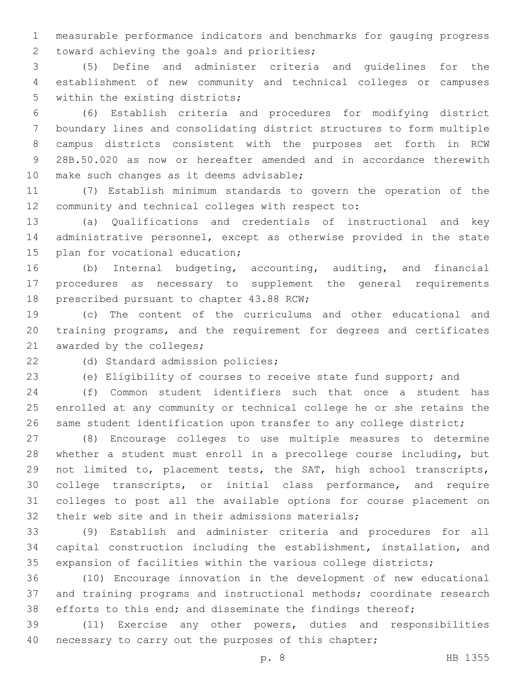measurable performance indicators and benchmarks for gauging progress 2 toward achieving the goals and priorities;

 (5) Define and administer criteria and guidelines for the establishment of new community and technical colleges or campuses 5 within the existing districts;

 (6) Establish criteria and procedures for modifying district boundary lines and consolidating district structures to form multiple campus districts consistent with the purposes set forth in RCW 28B.50.020 as now or hereafter amended and in accordance therewith 10 make such changes as it deems advisable;

 (7) Establish minimum standards to govern the operation of the 12 community and technical colleges with respect to:

 (a) Qualifications and credentials of instructional and key administrative personnel, except as otherwise provided in the state 15 plan for vocational education;

 (b) Internal budgeting, accounting, auditing, and financial procedures as necessary to supplement the general requirements 18 prescribed pursuant to chapter 43.88 RCW;

 (c) The content of the curriculums and other educational and training programs, and the requirement for degrees and certificates 21 awarded by the colleges;

22 (d) Standard admission policies;

(e) Eligibility of courses to receive state fund support; and

 (f) Common student identifiers such that once a student has enrolled at any community or technical college he or she retains the same student identification upon transfer to any college district;

 (8) Encourage colleges to use multiple measures to determine whether a student must enroll in a precollege course including, but not limited to, placement tests, the SAT, high school transcripts, college transcripts, or initial class performance, and require colleges to post all the available options for course placement on 32 their web site and in their admissions materials;

 (9) Establish and administer criteria and procedures for all capital construction including the establishment, installation, and expansion of facilities within the various college districts;

 (10) Encourage innovation in the development of new educational and training programs and instructional methods; coordinate research 38 efforts to this end; and disseminate the findings thereof;

 (11) Exercise any other powers, duties and responsibilities necessary to carry out the purposes of this chapter;